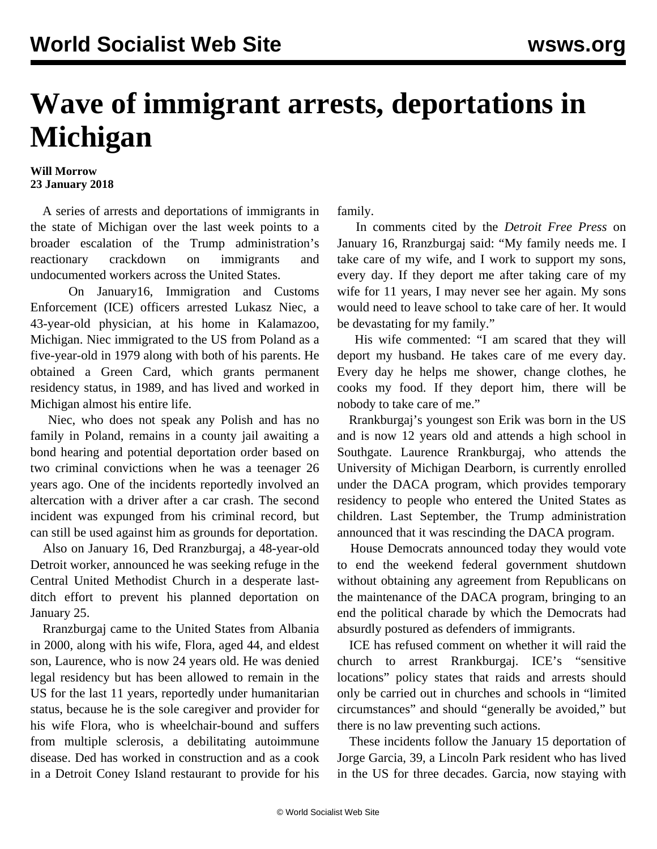## **Wave of immigrant arrests, deportations in Michigan**

## **Will Morrow 23 January 2018**

 A series of arrests and deportations of immigrants in the state of Michigan over the last week points to a broader escalation of the Trump administration's reactionary crackdown on immigrants and undocumented workers across the United States.

 On January16, Immigration and Customs Enforcement (ICE) officers arrested Lukasz Niec, a 43-year-old physician, at his home in Kalamazoo, Michigan. Niec immigrated to the US from Poland as a five-year-old in 1979 along with both of his parents. He obtained a Green Card, which grants permanent residency status, in 1989, and has lived and worked in Michigan almost his entire life.

 Niec, who does not speak any Polish and has no family in Poland, remains in a county jail awaiting a bond hearing and potential deportation order based on two criminal convictions when he was a teenager 26 years ago. One of the incidents reportedly involved an altercation with a driver after a car crash. The second incident was expunged from his criminal record, but can still be used against him as grounds for deportation.

 Also on January 16, Ded Rranzburgaj, a 48-year-old Detroit worker, announced he was seeking refuge in the Central United Methodist Church in a desperate lastditch effort to prevent his planned deportation on January 25.

 Rranzburgaj came to the United States from Albania in 2000, along with his wife, Flora, aged 44, and eldest son, Laurence, who is now 24 years old. He was denied legal residency but has been allowed to remain in the US for the last 11 years, reportedly under humanitarian status, because he is the sole caregiver and provider for his wife Flora, who is wheelchair-bound and suffers from multiple sclerosis, a debilitating autoimmune disease. Ded has worked in construction and as a cook in a Detroit Coney Island restaurant to provide for his family.

 In comments cited by the *Detroit Free Press* on January 16, Rranzburgaj said: "My family needs me. I take care of my wife, and I work to support my sons, every day. If they deport me after taking care of my wife for 11 years, I may never see her again. My sons would need to leave school to take care of her. It would be devastating for my family."

 His wife commented: "I am scared that they will deport my husband. He takes care of me every day. Every day he helps me shower, change clothes, he cooks my food. If they deport him, there will be nobody to take care of me."

 Rrankburgaj's youngest son Erik was born in the US and is now 12 years old and attends a high school in Southgate. Laurence Rrankburgaj, who attends the University of Michigan Dearborn, is currently enrolled under the DACA program, which provides temporary residency to people who entered the United States as children. Last September, the Trump administration announced that it was rescinding the DACA program.

 House Democrats announced today they would vote to end the weekend federal government shutdown without obtaining any agreement from Republicans on the maintenance of the DACA program, bringing to an end the political charade by which the Democrats had absurdly postured as defenders of immigrants.

 ICE has refused comment on whether it will raid the church to arrest Rrankburgaj. ICE's "sensitive locations" policy states that raids and arrests should only be carried out in churches and schools in "limited circumstances" and should "generally be avoided," but there is no law preventing such actions.

 These incidents follow the January 15 [deportation of](/en/articles/2018/01/17/immi-j17.html) [Jorge Garcia,](/en/articles/2018/01/17/immi-j17.html) 39, a Lincoln Park resident who has lived in the US for three decades. Garcia, now staying with